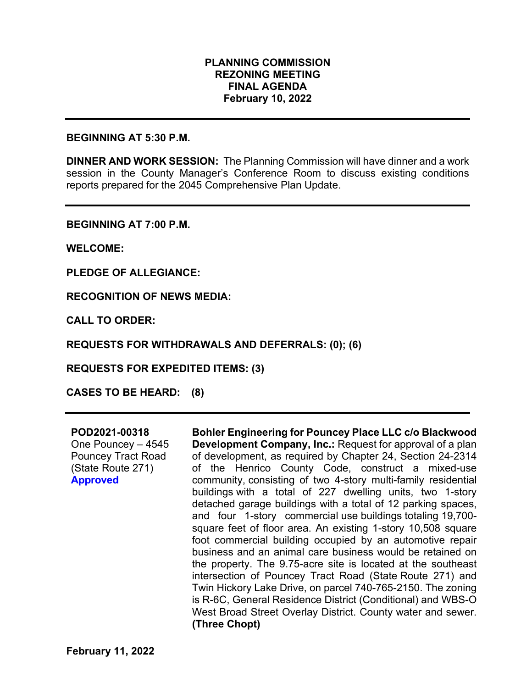### **PLANNING COMMISSION REZONING MEETING FINAL AGENDA February 10, 2022**

#### **BEGINNING AT 5:30 P.M.**

**DINNER AND WORK SESSION:** The Planning Commission will have dinner and a work session in the County Manager's Conference Room to discuss existing conditions reports prepared for the 2045 Comprehensive Plan Update.

**BEGINNING AT 7:00 P.M.**

**WELCOME:**

**PLEDGE OF ALLEGIANCE:**

**RECOGNITION OF NEWS MEDIA:**

**CALL TO ORDER:**

**REQUESTS FOR WITHDRAWALS AND DEFERRALS: (0); (6)**

**REQUESTS FOR EXPEDITED ITEMS: (3)**

**CASES TO BE HEARD: (8)**

### **POD2021-00318**

One Pouncey – 4545 Pouncey Tract Road (State Route 271) **Approved** 

**Bohler Engineering for Pouncey Place LLC c/o Blackwood Development Company, Inc.:** Request for approval of a plan of development, as required by Chapter 24, Section 24-2314 of the Henrico County Code, construct a mixed-use community, consisting of two 4-story multi-family residential buildings with a total of 227 dwelling units, two 1-story detached garage buildings with a total of 12 parking spaces, and four 1-story commercial use buildings totaling 19,700 square feet of floor area. An existing 1-story 10,508 square foot commercial building occupied by an automotive repair business and an animal care business would be retained on the property. The 9.75-acre site is located at the southeast intersection of Pouncey Tract Road (State Route 271) and Twin Hickory Lake Drive, on parcel 740-765-2150. The zoning is R-6C, General Residence District (Conditional) and WBS-O West Broad Street Overlay District. County water and sewer. **(Three Chopt)**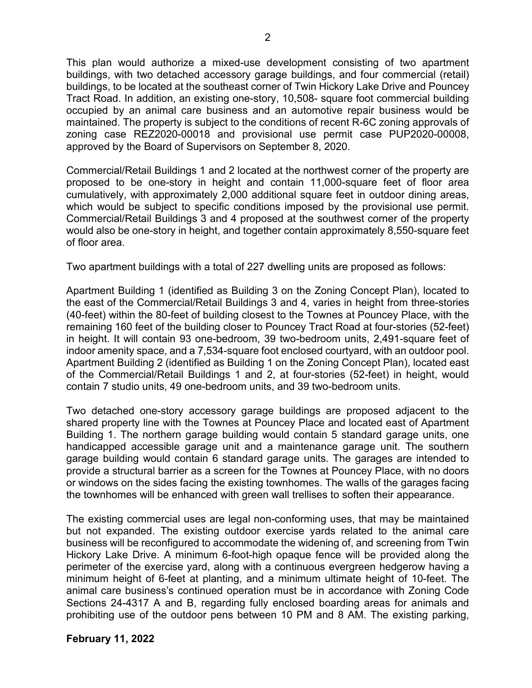This plan would authorize a mixed-use development consisting of two apartment buildings, with two detached accessory garage buildings, and four commercial (retail) buildings, to be located at the southeast corner of Twin Hickory Lake Drive and Pouncey Tract Road. In addition, an existing one-story, 10,508- square foot commercial building occupied by an animal care business and an automotive repair business would be maintained. The property is subject to the conditions of recent R-6C zoning approvals of zoning case REZ2020-00018 and provisional use permit case PUP2020-00008, approved by the Board of Supervisors on September 8, 2020.

Commercial/Retail Buildings 1 and 2 located at the northwest corner of the property are proposed to be one-story in height and contain 11,000-square feet of floor area cumulatively, with approximately 2,000 additional square feet in outdoor dining areas, which would be subject to specific conditions imposed by the provisional use permit. Commercial/Retail Buildings 3 and 4 proposed at the southwest corner of the property would also be one-story in height, and together contain approximately 8,550-square feet of floor area.

Two apartment buildings with a total of 227 dwelling units are proposed as follows:

Apartment Building 1 (identified as Building 3 on the Zoning Concept Plan), located to the east of the Commercial/Retail Buildings 3 and 4, varies in height from three-stories (40-feet) within the 80-feet of building closest to the Townes at Pouncey Place, with the remaining 160 feet of the building closer to Pouncey Tract Road at four-stories (52-feet) in height. It will contain 93 one-bedroom, 39 two-bedroom units, 2,491-square feet of indoor amenity space, and a 7,534-square foot enclosed courtyard, with an outdoor pool. Apartment Building 2 (identified as Building 1 on the Zoning Concept Plan), located east of the Commercial/Retail Buildings 1 and 2, at four-stories (52-feet) in height, would contain 7 studio units, 49 one-bedroom units, and 39 two-bedroom units.

Two detached one-story accessory garage buildings are proposed adjacent to the shared property line with the Townes at Pouncey Place and located east of Apartment Building 1. The northern garage building would contain 5 standard garage units, one handicapped accessible garage unit and a maintenance garage unit. The southern garage building would contain 6 standard garage units. The garages are intended to provide a structural barrier as a screen for the Townes at Pouncey Place, with no doors or windows on the sides facing the existing townhomes. The walls of the garages facing the townhomes will be enhanced with green wall trellises to soften their appearance.

The existing commercial uses are legal non-conforming uses, that may be maintained but not expanded. The existing outdoor exercise yards related to the animal care business will be reconfigured to accommodate the widening of, and screening from Twin Hickory Lake Drive. A minimum 6-foot-high opaque fence will be provided along the perimeter of the exercise yard, along with a continuous evergreen hedgerow having a minimum height of 6-feet at planting, and a minimum ultimate height of 10-feet. The animal care business's continued operation must be in accordance with Zoning Code Sections 24-4317 A and B, regarding fully enclosed boarding areas for animals and prohibiting use of the outdoor pens between 10 PM and 8 AM. The existing parking,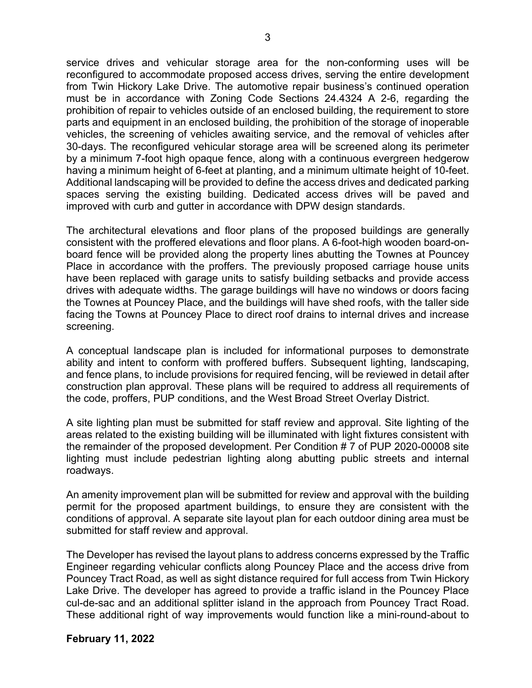service drives and vehicular storage area for the non-conforming uses will be reconfigured to accommodate proposed access drives, serving the entire development from Twin Hickory Lake Drive. The automotive repair business's continued operation must be in accordance with Zoning Code Sections 24.4324 A 2-6, regarding the prohibition of repair to vehicles outside of an enclosed building, the requirement to store parts and equipment in an enclosed building, the prohibition of the storage of inoperable vehicles, the screening of vehicles awaiting service, and the removal of vehicles after 30-days. The reconfigured vehicular storage area will be screened along its perimeter by a minimum 7-foot high opaque fence, along with a continuous evergreen hedgerow having a minimum height of 6-feet at planting, and a minimum ultimate height of 10-feet. Additional landscaping will be provided to define the access drives and dedicated parking spaces serving the existing building. Dedicated access drives will be paved and improved with curb and gutter in accordance with DPW design standards.

The architectural elevations and floor plans of the proposed buildings are generally consistent with the proffered elevations and floor plans. A 6-foot-high wooden board-onboard fence will be provided along the property lines abutting the Townes at Pouncey Place in accordance with the proffers. The previously proposed carriage house units have been replaced with garage units to satisfy building setbacks and provide access drives with adequate widths. The garage buildings will have no windows or doors facing the Townes at Pouncey Place, and the buildings will have shed roofs, with the taller side facing the Towns at Pouncey Place to direct roof drains to internal drives and increase screening.

A conceptual landscape plan is included for informational purposes to demonstrate ability and intent to conform with proffered buffers. Subsequent lighting, landscaping, and fence plans, to include provisions for required fencing, will be reviewed in detail after construction plan approval. These plans will be required to address all requirements of the code, proffers, PUP conditions, and the West Broad Street Overlay District.

A site lighting plan must be submitted for staff review and approval. Site lighting of the areas related to the existing building will be illuminated with light fixtures consistent with the remainder of the proposed development. Per Condition # 7 of PUP 2020-00008 site lighting must include pedestrian lighting along abutting public streets and internal roadways.

An amenity improvement plan will be submitted for review and approval with the building permit for the proposed apartment buildings, to ensure they are consistent with the conditions of approval. A separate site layout plan for each outdoor dining area must be submitted for staff review and approval.

The Developer has revised the layout plans to address concerns expressed by the Traffic Engineer regarding vehicular conflicts along Pouncey Place and the access drive from Pouncey Tract Road, as well as sight distance required for full access from Twin Hickory Lake Drive. The developer has agreed to provide a traffic island in the Pouncey Place cul-de-sac and an additional splitter island in the approach from Pouncey Tract Road. These additional right of way improvements would function like a mini-round-about to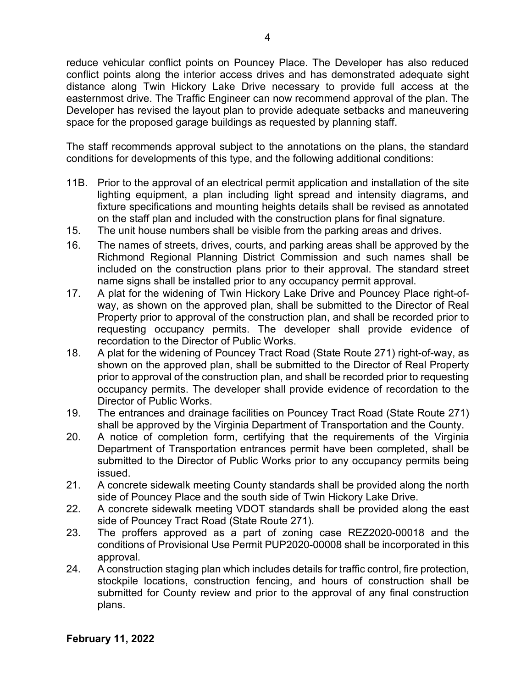reduce vehicular conflict points on Pouncey Place. The Developer has also reduced conflict points along the interior access drives and has demonstrated adequate sight distance along Twin Hickory Lake Drive necessary to provide full access at the easternmost drive. The Traffic Engineer can now recommend approval of the plan. The Developer has revised the layout plan to provide adequate setbacks and maneuvering space for the proposed garage buildings as requested by planning staff.

The staff recommends approval subject to the annotations on the plans, the standard conditions for developments of this type, and the following additional conditions:

- 11B. Prior to the approval of an electrical permit application and installation of the site lighting equipment, a plan including light spread and intensity diagrams, and fixture specifications and mounting heights details shall be revised as annotated on the staff plan and included with the construction plans for final signature.
- 15. The unit house numbers shall be visible from the parking areas and drives.
- 16. The names of streets, drives, courts, and parking areas shall be approved by the Richmond Regional Planning District Commission and such names shall be included on the construction plans prior to their approval. The standard street name signs shall be installed prior to any occupancy permit approval.
- 17. A plat for the widening of Twin Hickory Lake Drive and Pouncey Place right-ofway, as shown on the approved plan, shall be submitted to the Director of Real Property prior to approval of the construction plan, and shall be recorded prior to requesting occupancy permits. The developer shall provide evidence of recordation to the Director of Public Works.
- 18. A plat for the widening of Pouncey Tract Road (State Route 271) right-of-way, as shown on the approved plan, shall be submitted to the Director of Real Property prior to approval of the construction plan, and shall be recorded prior to requesting occupancy permits. The developer shall provide evidence of recordation to the Director of Public Works.
- 19. The entrances and drainage facilities on Pouncey Tract Road (State Route 271) shall be approved by the Virginia Department of Transportation and the County.
- 20. A notice of completion form, certifying that the requirements of the Virginia Department of Transportation entrances permit have been completed, shall be submitted to the Director of Public Works prior to any occupancy permits being issued.
- 21. A concrete sidewalk meeting County standards shall be provided along the north side of Pouncey Place and the south side of Twin Hickory Lake Drive.
- 22. A concrete sidewalk meeting VDOT standards shall be provided along the east side of Pouncey Tract Road (State Route 271).
- 23. The proffers approved as a part of zoning case REZ2020-00018 and the conditions of Provisional Use Permit PUP2020-00008 shall be incorporated in this approval.
- 24. A construction staging plan which includes details for traffic control, fire protection, stockpile locations, construction fencing, and hours of construction shall be submitted for County review and prior to the approval of any final construction plans.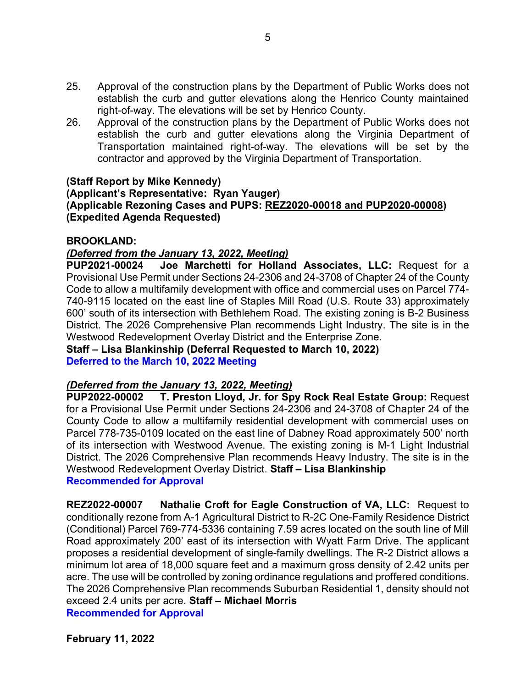- 25. Approval of the construction plans by the Department of Public Works does not establish the curb and gutter elevations along the Henrico County maintained right-of-way. The elevations will be set by Henrico County.
- 26. Approval of the construction plans by the Department of Public Works does not establish the curb and gutter elevations along the Virginia Department of Transportation maintained right-of-way. The elevations will be set by the contractor and approved by the Virginia Department of Transportation.

# **(Staff Report by Mike Kennedy)**

## **(Applicant's Representative: Ryan Yauger) (Applicable Rezoning Cases and PUPS: REZ2020-00018 and PUP2020-00008) (Expedited Agenda Requested)**

### **BROOKLAND:**

## *(Deferred from the January 13, 2022, Meeting)*

**PUP2021-00024 Joe Marchetti for Holland Associates, LLC:** Request for a Provisional Use Permit under Sections 24-2306 and 24-3708 of Chapter 24 of the County Code to allow a multifamily development with office and commercial uses on Parcel 774- 740-9115 located on the east line of Staples Mill Road (U.S. Route 33) approximately 600' south of its intersection with Bethlehem Road. The existing zoning is B-2 Business District. The 2026 Comprehensive Plan recommends Light Industry. The site is in the Westwood Redevelopment Overlay District and the Enterprise Zone.

**Staff – Lisa Blankinship (Deferral Requested to March 10, 2022) Deferred to the March 10, 2022 Meeting**

### *(Deferred from the January 13, 2022, Meeting)*

**PUP2022-00002 T. Preston Lloyd, Jr. for Spy Rock Real Estate Group:** Request for a Provisional Use Permit under Sections 24-2306 and 24-3708 of Chapter 24 of the County Code to allow a multifamily residential development with commercial uses on Parcel 778-735-0109 located on the east line of Dabney Road approximately 500' north of its intersection with Westwood Avenue. The existing zoning is M-1 Light Industrial District. The 2026 Comprehensive Plan recommends Heavy Industry. The site is in the Westwood Redevelopment Overlay District. **Staff – Lisa Blankinship**

### **Recommended for Approval**

**REZ2022-00007 Nathalie Croft for Eagle Construction of VA, LLC:** Request to conditionally rezone from A-1 Agricultural District to R-2C One-Family Residence District (Conditional) Parcel 769-774-5336 containing 7.59 acres located on the south line of Mill Road approximately 200' east of its intersection with Wyatt Farm Drive. The applicant proposes a residential development of single-family dwellings. The R-2 District allows a minimum lot area of 18,000 square feet and a maximum gross density of 2.42 units per acre. The use will be controlled by zoning ordinance regulations and proffered conditions. The 2026 Comprehensive Plan recommends Suburban Residential 1, density should not exceed 2.4 units per acre. **Staff – Michael Morris Recommended for Approval**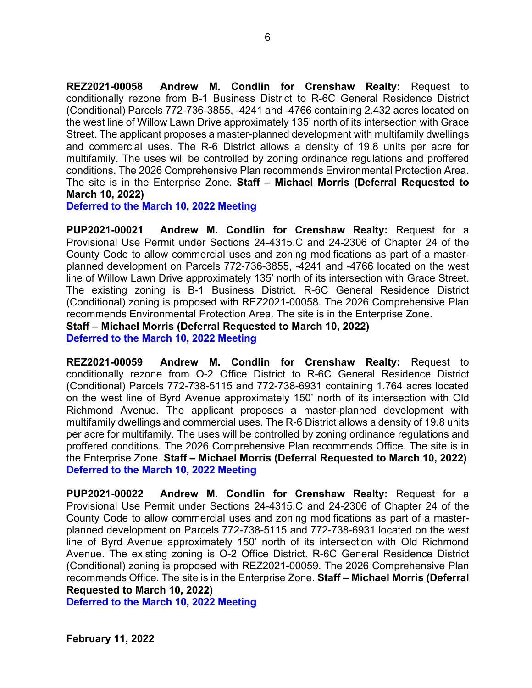**REZ2021-00058 Andrew M. Condlin for Crenshaw Realty:** Request to conditionally rezone from B-1 Business District to R-6C General Residence District (Conditional) Parcels 772-736-3855, -4241 and -4766 containing 2.432 acres located on the west line of Willow Lawn Drive approximately 135' north of its intersection with Grace Street. The applicant proposes a master-planned development with multifamily dwellings and commercial uses. The R-6 District allows a density of 19.8 units per acre for multifamily. The uses will be controlled by zoning ordinance regulations and proffered conditions. The 2026 Comprehensive Plan recommends Environmental Protection Area. The site is in the Enterprise Zone. **Staff – Michael Morris (Deferral Requested to March 10, 2022)**

**Deferred to the March 10, 2022 Meeting**

**PUP2021-00021 Andrew M. Condlin for Crenshaw Realty:** Request for a Provisional Use Permit under Sections 24-4315.C and 24-2306 of Chapter 24 of the County Code to allow commercial uses and zoning modifications as part of a masterplanned development on Parcels 772-736-3855, -4241 and -4766 located on the west line of Willow Lawn Drive approximately 135' north of its intersection with Grace Street. The existing zoning is B-1 Business District. R-6C General Residence District (Conditional) zoning is proposed with REZ2021-00058. The 2026 Comprehensive Plan recommends Environmental Protection Area. The site is in the Enterprise Zone. **Staff – Michael Morris (Deferral Requested to March 10, 2022)**

**Deferred to the March 10, 2022 Meeting**

**REZ2021-00059 Andrew M. Condlin for Crenshaw Realty:** Request to conditionally rezone from O-2 Office District to R-6C General Residence District (Conditional) Parcels 772-738-5115 and 772-738-6931 containing 1.764 acres located on the west line of Byrd Avenue approximately 150' north of its intersection with Old Richmond Avenue. The applicant proposes a master-planned development with multifamily dwellings and commercial uses. The R-6 District allows a density of 19.8 units per acre for multifamily. The uses will be controlled by zoning ordinance regulations and proffered conditions. The 2026 Comprehensive Plan recommends Office. The site is in the Enterprise Zone. **Staff – Michael Morris (Deferral Requested to March 10, 2022) Deferred to the March 10, 2022 Meeting**

**PUP2021-00022 Andrew M. Condlin for Crenshaw Realty:** Request for a Provisional Use Permit under Sections 24-4315.C and 24-2306 of Chapter 24 of the County Code to allow commercial uses and zoning modifications as part of a masterplanned development on Parcels 772-738-5115 and 772-738-6931 located on the west line of Byrd Avenue approximately 150' north of its intersection with Old Richmond Avenue. The existing zoning is O-2 Office District. R-6C General Residence District (Conditional) zoning is proposed with REZ2021-00059. The 2026 Comprehensive Plan recommends Office. The site is in the Enterprise Zone. **Staff – Michael Morris (Deferral Requested to March 10, 2022)**

**Deferred to the March 10, 2022 Meeting**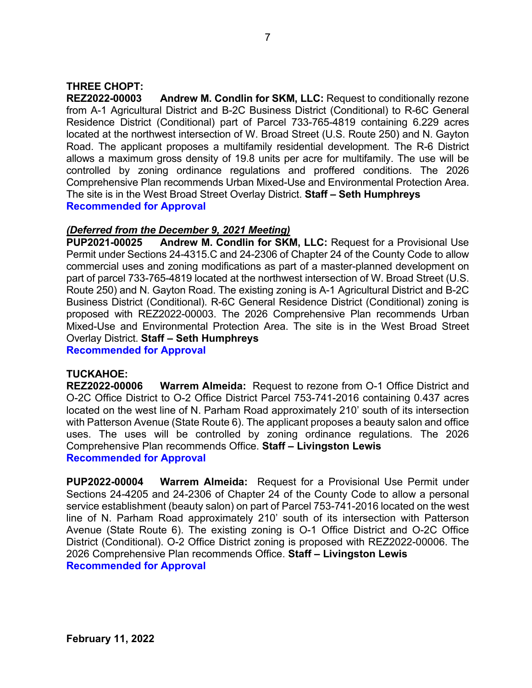# **THREE CHOPT:**

**REZ2022-00003 Andrew M. Condlin for SKM, LLC:** Request to conditionally rezone from A-1 Agricultural District and B-2C Business District (Conditional) to R-6C General Residence District (Conditional) part of Parcel 733-765-4819 containing 6.229 acres located at the northwest intersection of W. Broad Street (U.S. Route 250) and N. Gayton Road. The applicant proposes a multifamily residential development. The R-6 District allows a maximum gross density of 19.8 units per acre for multifamily. The use will be controlled by zoning ordinance regulations and proffered conditions. The 2026 Comprehensive Plan recommends Urban Mixed-Use and Environmental Protection Area. The site is in the West Broad Street Overlay District. **Staff – Seth Humphreys Recommended for Approval**

### *(Deferred from the December 9, 2021 Meeting)*

**PUP2021-00025 Andrew M. Condlin for SKM, LLC:** Request for a Provisional Use Permit under Sections 24-4315.C and 24-2306 of Chapter 24 of the County Code to allow commercial uses and zoning modifications as part of a master-planned development on part of parcel 733-765-4819 located at the northwest intersection of W. Broad Street (U.S. Route 250) and N. Gayton Road. The existing zoning is A-1 Agricultural District and B-2C Business District (Conditional). R-6C General Residence District (Conditional) zoning is proposed with REZ2022-00003. The 2026 Comprehensive Plan recommends Urban Mixed-Use and Environmental Protection Area. The site is in the West Broad Street Overlay District. **Staff – Seth Humphreys** 

**Recommended for Approval**

### **TUCKAHOE:**

**REZ2022-00006 Warrem Almeida:** Request to rezone from O-1 Office District and O-2C Office District to O-2 Office District Parcel 753-741-2016 containing 0.437 acres located on the west line of N. Parham Road approximately 210' south of its intersection with Patterson Avenue (State Route 6). The applicant proposes a beauty salon and office uses. The uses will be controlled by zoning ordinance regulations. The 2026 Comprehensive Plan recommends Office. **Staff – Livingston Lewis Recommended for Approval**

**PUP2022-00004 Warrem Almeida:** Request for a Provisional Use Permit under Sections 24-4205 and 24-2306 of Chapter 24 of the County Code to allow a personal service establishment (beauty salon) on part of Parcel 753-741-2016 located on the west line of N. Parham Road approximately 210' south of its intersection with Patterson Avenue (State Route 6). The existing zoning is O-1 Office District and O-2C Office District (Conditional). O-2 Office District zoning is proposed with REZ2022-00006. The 2026 Comprehensive Plan recommends Office. **Staff – Livingston Lewis Recommended for Approval**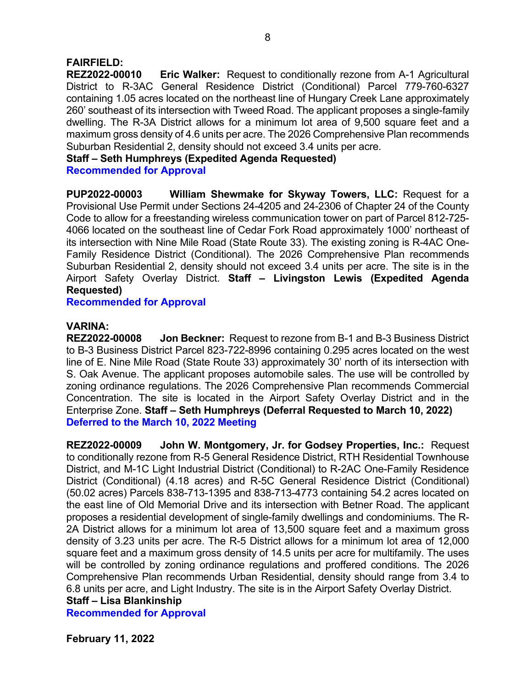### **FAIRFIELD:**

**REZ2022-00010 Eric Walker:** Request to conditionally rezone from A-1 Agricultural District to R-3AC General Residence District (Conditional) Parcel 779-760-6327 containing 1.05 acres located on the northeast line of Hungary Creek Lane approximately 260' southeast of its intersection with Tweed Road. The applicant proposes a single-family dwelling. The R-3A District allows for a minimum lot area of 9,500 square feet and a maximum gross density of 4.6 units per acre. The 2026 Comprehensive Plan recommends Suburban Residential 2, density should not exceed 3.4 units per acre.

**Staff – Seth Humphreys (Expedited Agenda Requested)**

**Recommended for Approval**

**PUP2022-00003 William Shewmake for Skyway Towers, LLC:** Request for a Provisional Use Permit under Sections 24-4205 and 24-2306 of Chapter 24 of the County Code to allow for a freestanding wireless communication tower on part of Parcel 812-725- 4066 located on the southeast line of Cedar Fork Road approximately 1000' northeast of its intersection with Nine Mile Road (State Route 33). The existing zoning is R-4AC One-Family Residence District (Conditional). The 2026 Comprehensive Plan recommends Suburban Residential 2, density should not exceed 3.4 units per acre. The site is in the Airport Safety Overlay District. **Staff – Livingston Lewis (Expedited Agenda Requested)**

**Recommended for Approval**

### **VARINA:**

**REZ2022-00008 Jon Beckner:** Request to rezone from B-1 and B-3 Business District to B-3 Business District Parcel 823-722-8996 containing 0.295 acres located on the west line of E. Nine Mile Road (State Route 33) approximately 30' north of its intersection with S. Oak Avenue. The applicant proposes automobile sales. The use will be controlled by zoning ordinance regulations. The 2026 Comprehensive Plan recommends Commercial Concentration. The site is located in the Airport Safety Overlay District and in the Enterprise Zone. **Staff – Seth Humphreys (Deferral Requested to March 10, 2022) Deferred to the March 10, 2022 Meeting**

**REZ2022-00009 John W. Montgomery, Jr. for Godsey Properties, Inc.:** Request to conditionally rezone from R-5 General Residence District, RTH Residential Townhouse District, and M-1C Light Industrial District (Conditional) to R-2AC One-Family Residence District (Conditional) (4.18 acres) and R-5C General Residence District (Conditional) (50.02 acres) Parcels 838-713-1395 and 838-713-4773 containing 54.2 acres located on the east line of Old Memorial Drive and its intersection with Betner Road. The applicant proposes a residential development of single-family dwellings and condominiums. The R-2A District allows for a minimum lot area of 13,500 square feet and a maximum gross density of 3.23 units per acre. The R-5 District allows for a minimum lot area of 12,000 square feet and a maximum gross density of 14.5 units per acre for multifamily. The uses will be controlled by zoning ordinance regulations and proffered conditions. The 2026 Comprehensive Plan recommends Urban Residential, density should range from 3.4 to 6.8 units per acre, and Light Industry. The site is in the Airport Safety Overlay District.

**Staff – Lisa Blankinship**

**Recommended for Approval**